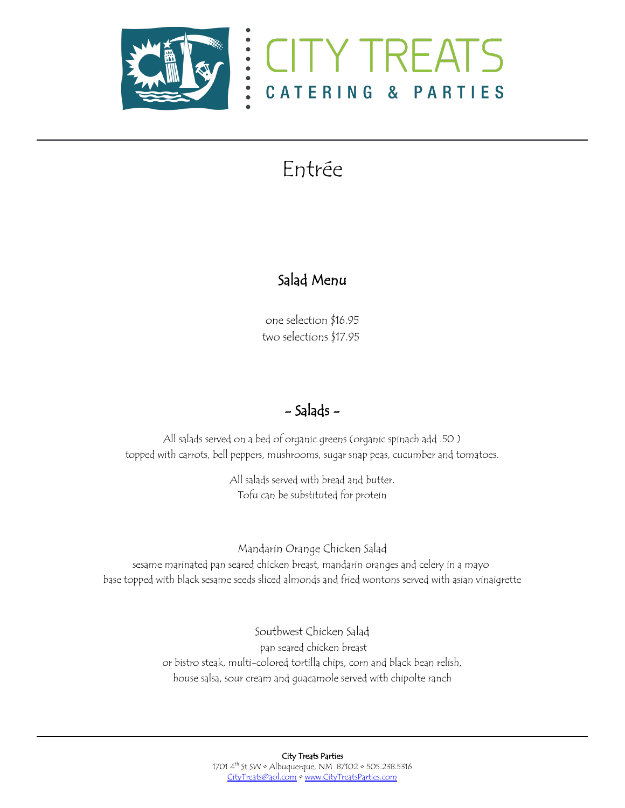



# Entrée

### Salad Menu

one selection \$16.95 two selections \$17.95

## - Salads -

All salads served on a bed of organic greens (organic spinach add .50 ) topped with carrots, bell peppers, mushrooms, sugar snap peas, cucumber and tomatoes.

> All salads served with bread and butter. Tofu can be substituted for protein

Mandarin Orange Chicken Salad sesame marinated pan seared chicken breast, mandarin oranges and celery in a mayo base topped with black sesame seeds sliced almonds and fried wontons served with asian vinaigrette

> Southwest Chicken Salad pan seared chicken breast or bistro steak, multi-colored tortilla chips, corn and black bean relish, house salsa, sour cream and guacamole served with chipolte ranch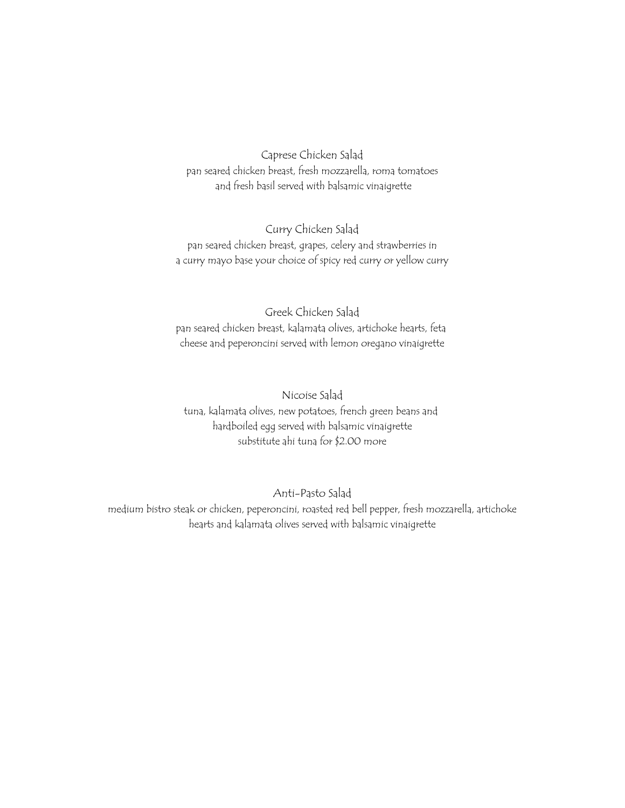Caprese Chicken Salad pan seared chicken breast, fresh mozzarella, roma tomatoes and fresh basil served with balsamic vinaigrette

Curry Chicken Salad pan seared chicken breast, grapes, celery and strawberries in a curry mayo base your choice of spicy red curry or yellow curry

Greek Chicken Salad pan seared chicken breast, kalamata olives, artichoke hearts, feta cheese and peperoncini served with lemon oregano vinaigrette

Nicoise Salad tuna, kalamata olives, new potatoes, french green beans and hardboiled egg served with balsamic vinaigrette substitute ahi tuna for \$2.00 more

Anti-Pasto Salad

medium bistro steak or chicken, peperoncini, roasted red bell pepper, fresh mozzarella, artichoke hearts and kalamata olives served with balsamic vinaigrette